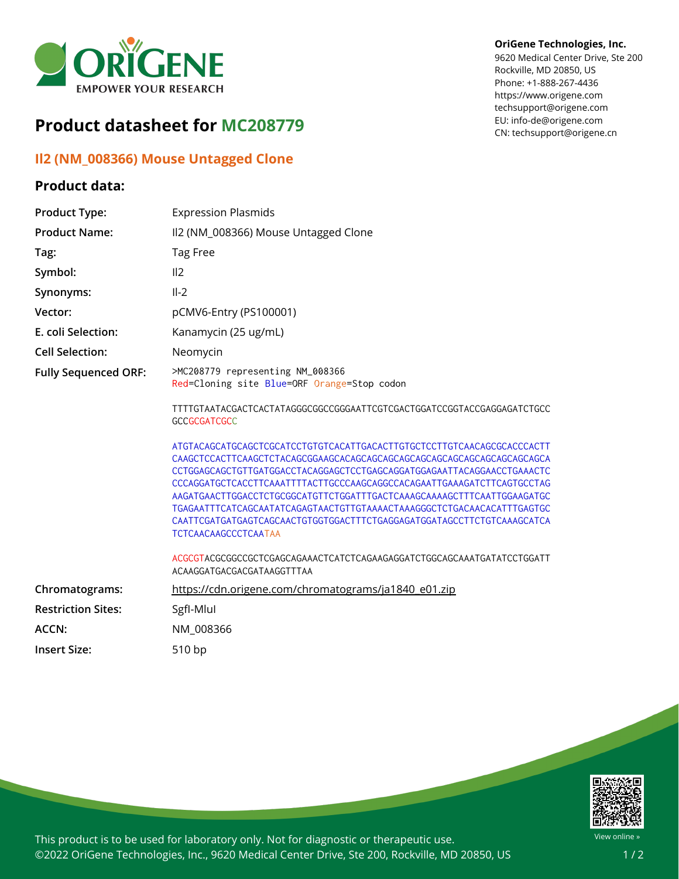

# **Product datasheet for MC208779**

## **Il2 (NM\_008366) Mouse Untagged Clone**

### **Product data:**

#### **OriGene Technologies, Inc.**

9620 Medical Center Drive, Ste 200 Rockville, MD 20850, US Phone: +1-888-267-4436 https://www.origene.com techsupport@origene.com EU: info-de@origene.com CN: techsupport@origene.cn

| <b>Product Type:</b>        | <b>Expression Plasmids</b>                                                                                                                                                                                                                                                                                                                                                                                                                                                              |
|-----------------------------|-----------------------------------------------------------------------------------------------------------------------------------------------------------------------------------------------------------------------------------------------------------------------------------------------------------------------------------------------------------------------------------------------------------------------------------------------------------------------------------------|
| <b>Product Name:</b>        | II2 (NM_008366) Mouse Untagged Clone                                                                                                                                                                                                                                                                                                                                                                                                                                                    |
| Tag:                        | Tag Free                                                                                                                                                                                                                                                                                                                                                                                                                                                                                |
| Symbol:                     | II2                                                                                                                                                                                                                                                                                                                                                                                                                                                                                     |
| Synonyms:                   | $II-2$                                                                                                                                                                                                                                                                                                                                                                                                                                                                                  |
| Vector:                     | pCMV6-Entry (PS100001)                                                                                                                                                                                                                                                                                                                                                                                                                                                                  |
| E. coli Selection:          | Kanamycin (25 ug/mL)                                                                                                                                                                                                                                                                                                                                                                                                                                                                    |
| <b>Cell Selection:</b>      | Neomycin                                                                                                                                                                                                                                                                                                                                                                                                                                                                                |
| <b>Fully Sequenced ORF:</b> | >MC208779 representing NM_008366<br>Red=Cloning site Blue=ORF Orange=Stop codon                                                                                                                                                                                                                                                                                                                                                                                                         |
|                             | TTTTGTAATACGACTCACTATAGGGCGGCCGGGAATTCGTCGACTGGATCCGGTACCGAGGAGATCTGCC<br><b>GCCGCGATCGCC</b>                                                                                                                                                                                                                                                                                                                                                                                           |
|                             | ATGTACAGCATGCAGCTCGCATCCTGTGTCACATTGACACTTGTGCTCCTTGTCAACAGCGCACCCACTT<br>CCTGGAGCAGCTGTTGATGGACCTACAGGAGCTCCTGAGCAGGATGGAGAATTACAGGAACCTGAAACTC<br>CCCAGGATGCTCACCTTCAAATTTTACTTGCCCAAGCAGGCCACAGAATTGAAAGATCTTCAGTGCCTAG<br>AAGATGAACTTGGACCTCTGCGGCATGTTCTGGATTTGACTCAAAGCAAAAGCTTTCAATTGGAAGATGC<br>TGAGAATTTCATCAGCAATATCAGAGTAACTGTTGTAAAACTAAAGGGCTCTGACAACACATTTGAGTGC<br>CAATTCGATGATGAGTCAGCAACTGTGGTGGACTTTCTGAGGAGATGGATAGCCTTCTGTCAAAGCATCA<br><b>TCTCAACAAGCCCTCAATAA</b> |
|                             | ACGCGTACGCGGCCGCTCGAGCAGAAACTCATCTCAGAAGAGGATCTGGCAGCAAATGATATCCTGGATT<br>ACAAGGATGACGACGATAAGGTTTAA                                                                                                                                                                                                                                                                                                                                                                                    |
| Chromatograms:              | https://cdn.origene.com/chromatograms/ja1840_e01.zip                                                                                                                                                                                                                                                                                                                                                                                                                                    |
| <b>Restriction Sites:</b>   | SgfI-Mlul                                                                                                                                                                                                                                                                                                                                                                                                                                                                               |
| ACCN:                       | NM_008366                                                                                                                                                                                                                                                                                                                                                                                                                                                                               |
| <b>Insert Size:</b>         | 510 bp                                                                                                                                                                                                                                                                                                                                                                                                                                                                                  |



This product is to be used for laboratory only. Not for diagnostic or therapeutic use. ©2022 OriGene Technologies, Inc., 9620 Medical Center Drive, Ste 200, Rockville, MD 20850, US